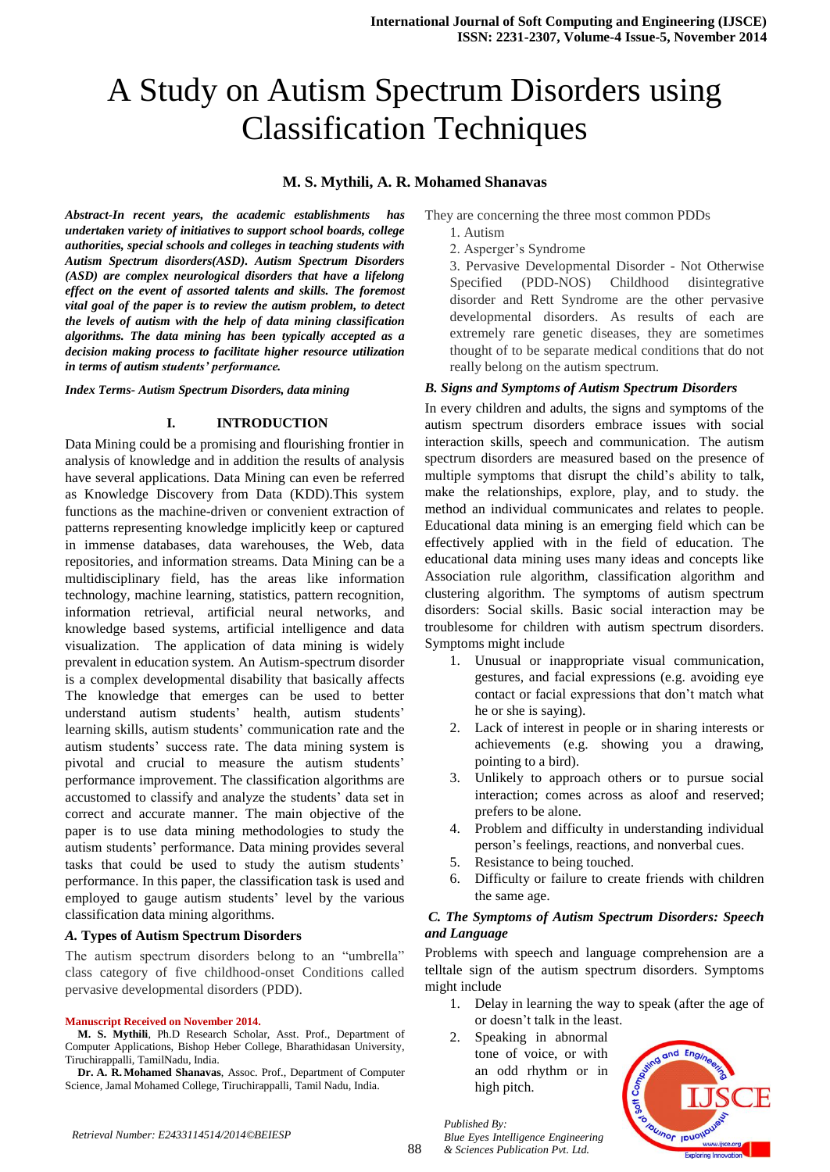# A Study on Autism Spectrum Disorders using Classification Techniques

## **M. S. Mythili, A. R. Mohamed Shanavas**

*Abstract-In recent years, the academic establishments has undertaken variety of initiatives to support school boards, college authorities, special schools and colleges in teaching students with Autism Spectrum disorders(ASD). Autism Spectrum Disorders (ASD) are complex neurological disorders that have a lifelong effect on the event of assorted talents and skills. The foremost vital goal of the paper is to review the autism problem, to detect the levels of autism with the help of data mining classification algorithms. The data mining has been typically accepted as a decision making process to facilitate higher resource utilization in terms of autism students' performance.* 

*Index Terms- Autism Spectrum Disorders, data mining*

### **I. INTRODUCTION**

Data Mining could be a promising and flourishing frontier in analysis of knowledge and in addition the results of analysis have several applications. Data Mining can even be referred as Knowledge Discovery from Data (KDD).This system functions as the machine-driven or convenient extraction of patterns representing knowledge implicitly keep or captured in immense databases, data warehouses, the Web, data repositories, and information streams. Data Mining can be a multidisciplinary field, has the areas like information technology, machine learning, statistics, pattern recognition, information retrieval, artificial neural networks, and knowledge based systems, artificial intelligence and data visualization. The application of data mining is widely prevalent in education system. An Autism-spectrum disorder is a complex developmental disability that basically affects The knowledge that emerges can be used to better understand autism students' health, autism students' learning skills, autism students' communication rate and the autism students' success rate. The data mining system is pivotal and crucial to measure the autism students' performance improvement. The classification algorithms are accustomed to classify and analyze the students' data set in correct and accurate manner. The main objective of the paper is to use data mining methodologies to study the autism students' performance. Data mining provides several tasks that could be used to study the autism students' performance. In this paper, the classification task is used and employed to gauge autism students' level by the various classification data mining algorithms.

#### *A.* **Types of Autism Spectrum Disorders**

The autism spectrum disorders belong to an "umbrella" class category of five childhood-onset Conditions called pervasive developmental disorders (PDD).

#### **Manuscript Received on November 2014.**

**M. S. Mythili**, Ph.D Research Scholar, Asst. Prof., Department of Computer Applications, Bishop Heber College, Bharathidasan University, Tiruchirappalli, TamilNadu, India.

**Dr. A. R.Mohamed Shanavas**, Assoc. Prof., Department of Computer Science, Jamal Mohamed College, Tiruchirappalli, Tamil Nadu, India.

They are concerning the three most common PDDs

- 1. Autism
- 2. Asperger's Syndrome

3. Pervasive Developmental Disorder - Not Otherwise Specified (PDD-NOS) Childhood disintegrative disorder and Rett Syndrome are the other pervasive developmental disorders. As results of each are extremely rare genetic diseases, they are sometimes thought of to be separate medical conditions that do not really belong on the autism spectrum.

### *B. Signs and Symptoms of Autism Spectrum Disorders*

In every children and adults, the signs and symptoms of the autism spectrum disorders embrace issues with social interaction skills, speech and communication. The autism spectrum disorders are measured based on the presence of multiple symptoms that disrupt the child's ability to talk, make the relationships, explore, play, and to study. the method an individual communicates and relates to people. Educational data mining is an emerging field which can be effectively applied with in the field of education. The educational data mining uses many ideas and concepts like Association rule algorithm, classification algorithm and clustering algorithm. The symptoms of autism spectrum disorders: Social skills. Basic social interaction may be troublesome for children with autism spectrum disorders. Symptoms might include

- 1. Unusual or inappropriate visual communication, gestures, and facial expressions (e.g. avoiding eye contact or facial expressions that don't match what he or she is saying).
- 2. Lack of interest in people or in sharing interests or achievements (e.g. showing you a drawing, pointing to a bird).
- 3. Unlikely to approach others or to pursue social interaction; comes across as aloof and reserved; prefers to be alone.
- 4. Problem and difficulty in understanding individual person's feelings, reactions, and nonverbal cues.
- 5. Resistance to being touched.
- 6. Difficulty or failure to create friends with children the same age.

## *C. The Symptoms of Autism Spectrum Disorders: Speech and Language*

Problems with speech and language comprehension are a telltale sign of the autism spectrum disorders. Symptoms might include

- 1. Delay in learning the way to speak (after the age of or doesn't talk in the least.
- 2. Speaking in abnormal tone of voice, or with an odd rhythm or in high pitch.

*Blue Eyes Intelligence Engineering & Sciences Publication Pvt. Ltd.*



*Published By:*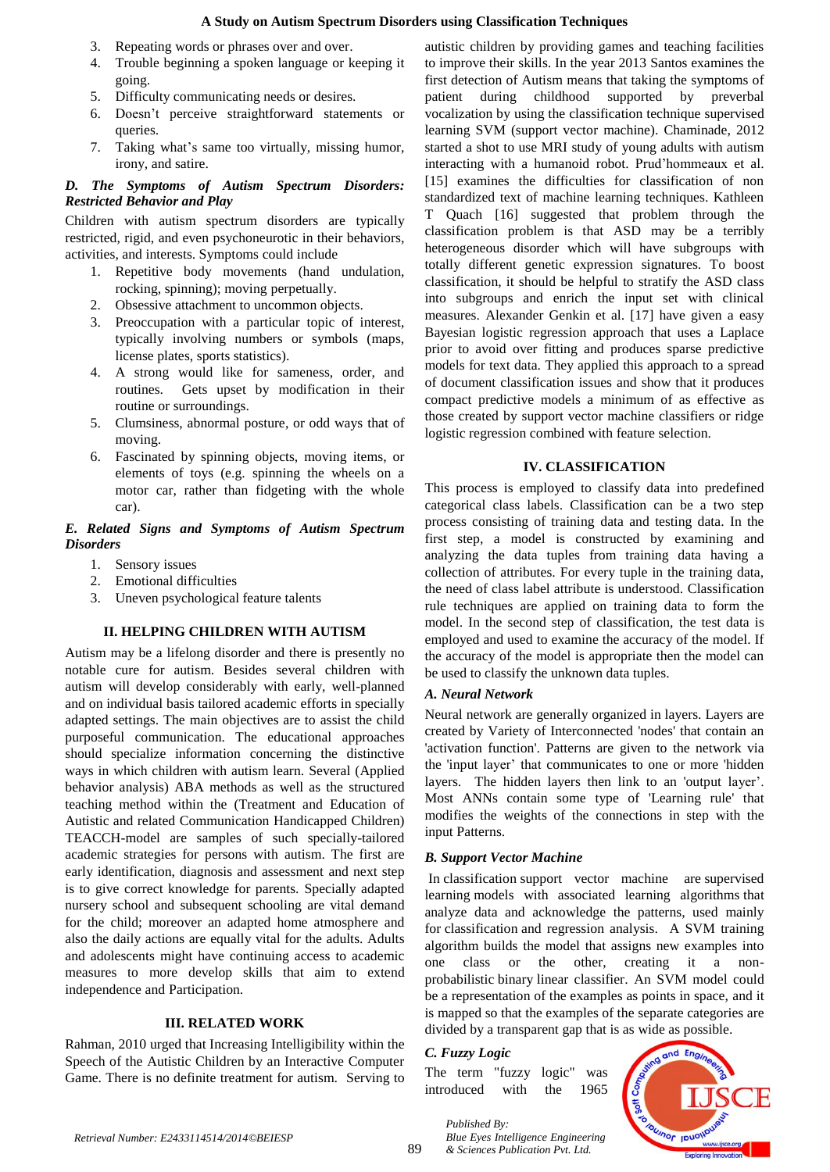- 3. Repeating words or phrases over and over.
- 4. Trouble beginning a spoken language or keeping it going.
- 5. Difficulty communicating needs or desires.
- 6. Doesn't perceive straightforward statements or queries.
- 7. Taking what's same too virtually, missing humor, irony, and satire.

## *D. The Symptoms of Autism Spectrum Disorders: Restricted Behavior and Play*

Children with autism spectrum disorders are typically restricted, rigid, and even psychoneurotic in their behaviors, activities, and interests. Symptoms could include

- 1. Repetitive body movements (hand undulation, rocking, spinning); moving perpetually.
- 2. Obsessive attachment to uncommon objects.
- 3. Preoccupation with a particular topic of interest, typically involving numbers or symbols (maps, license plates, sports statistics).
- 4. A strong would like for sameness, order, and routines. Gets upset by modification in their routine or surroundings.
- 5. Clumsiness, abnormal posture, or odd ways that of moving.
- 6. Fascinated by spinning objects, moving items, or elements of toys (e.g. spinning the wheels on a motor car, rather than fidgeting with the whole car).

## *E. Related Signs and Symptoms of Autism Spectrum Disorders*

- 1. Sensory issues
- 2. Emotional difficulties
- 3. Uneven psychological feature talents

# **II. HELPING CHILDREN WITH AUTISM**

Autism may be a lifelong disorder and there is presently no notable cure for autism. Besides several children with autism will develop considerably with early, well-planned and on individual basis tailored academic efforts in specially adapted settings. The main objectives are to assist the child purposeful communication. The educational approaches should specialize information concerning the distinctive ways in which children with autism learn. Several (Applied behavior analysis) ABA methods as well as the structured teaching method within the (Treatment and Education of Autistic and related Communication Handicapped Children) TEACCH-model are samples of such specially-tailored academic strategies for persons with autism. The first are early identification, diagnosis and assessment and next step is to give correct knowledge for parents. Specially adapted nursery school and subsequent schooling are vital demand for the child; moreover an adapted home atmosphere and also the daily actions are equally vital for the adults. Adults and adolescents might have continuing access to academic measures to more develop skills that aim to extend independence and Participation.

# **III. RELATED WORK**

Rahman, 2010 urged that Increasing Intelligibility within the Speech of the Autistic Children by an Interactive Computer Game. There is no definite treatment for autism. Serving to

autistic children by providing games and teaching facilities to improve their skills. In the year 2013 Santos examines the first detection of Autism means that taking the symptoms of patient during childhood supported by preverbal vocalization by using the classification technique supervised learning SVM (support vector machine). Chaminade, 2012 started a shot to use MRI study of young adults with autism interacting with a humanoid robot. Prud'hommeaux et al. [15] examines the difficulties for classification of non standardized text of machine learning techniques. Kathleen T Quach [16] suggested that problem through the classification problem is that ASD may be a terribly heterogeneous disorder which will have subgroups with totally different genetic expression signatures. To boost classification, it should be helpful to stratify the ASD class into subgroups and enrich the input set with clinical measures. Alexander Genkin et al. [17] have given a easy Bayesian logistic regression approach that uses a Laplace prior to avoid over fitting and produces sparse predictive models for text data. They applied this approach to a spread of document classification issues and show that it produces compact predictive models a minimum of as effective as those created by support vector machine classifiers or ridge logistic regression combined with feature selection.

## **IV. CLASSIFICATION**

This process is employed to classify data into predefined categorical class labels. Classification can be a two step process consisting of training data and testing data. In the first step, a model is constructed by examining and analyzing the data tuples from training data having a collection of attributes. For every tuple in the training data, the need of class label attribute is understood. Classification rule techniques are applied on training data to form the model. In the second step of classification, the test data is employed and used to examine the accuracy of the model. If the accuracy of the model is appropriate then the model can be used to classify the unknown data tuples.

## *A. Neural Network*

Neural network are generally organized in layers. Layers are created by Variety of Interconnected 'nodes' that contain an 'activation function'. Patterns are given to the network via the 'input layer' that communicates to one or more 'hidden layers. The hidden layers then link to an 'output layer'. Most ANNs contain some type of 'Learning rule' that modifies the weights of the connections in step with the input Patterns.

# *B. Support Vector Machine*

In classification support vector machine are [supervised](http://en.wikipedia.org/wiki/Supervised_learning)  [learning](http://en.wikipedia.org/wiki/Supervised_learning) models with associated learning [algorithms](http://en.wikipedia.org/wiki/Algorithm) that analyze data and acknowledge the patterns, used mainly for [classification](http://en.wikipedia.org/wiki/Statistical_classification) and [regression analysis.](http://en.wikipedia.org/wiki/Regression_analysis) A SVM training algorithm builds the model that assigns new examples into one class or the other, creating it a non[probabilistic](http://en.wikipedia.org/wiki/Probabilistic_classification) [binary](http://en.wikipedia.org/wiki/Binary_classifier) [linear classifier.](http://en.wikipedia.org/wiki/Linear_classifier) An SVM model could be a representation of the examples as points in space, and it is mapped so that the examples of the separate categories are divided by a transparent gap that is as wide as possible.

## *C. Fuzzy Logic*

The term "fuzzy logic" was introduced with the 1965



*Published By: Blue Eyes Intelligence Engineering & Sciences Publication Pvt. Ltd.*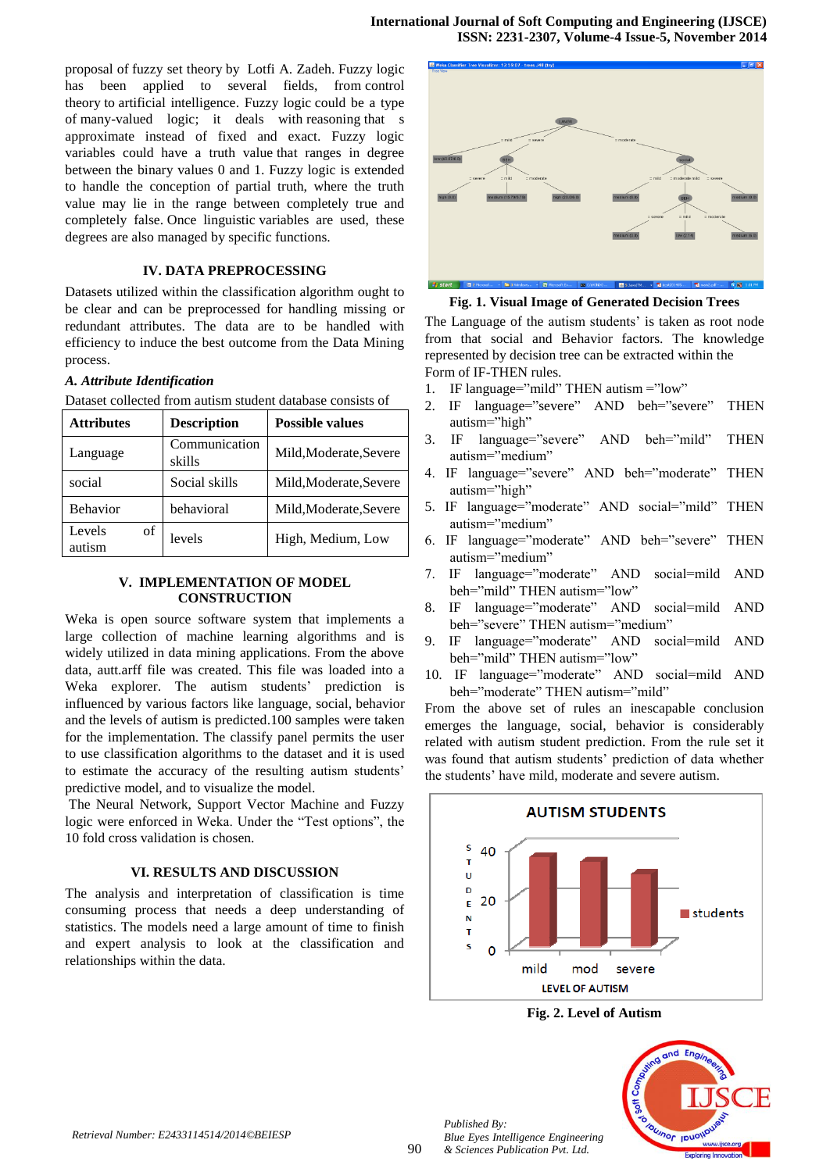proposal of [fuzzy set theory](http://en.wikipedia.org/wiki/Fuzzy_set_theory) by [Lotfi A. Zadeh.](http://en.wikipedia.org/wiki/Lotfi_A._Zadeh) Fuzzy logic has been applied to several fields, from [control](http://en.wikipedia.org/wiki/Control_theory) [theory](http://en.wikipedia.org/wiki/Control_theory) to [artificial intelligence.](http://en.wikipedia.org/wiki/Artificial_intelligence) Fuzzy logic could be a type of [many-valued logic;](http://en.wikipedia.org/wiki/Many-valued_logic) it deals with [reasoning](http://en.wikipedia.org/wiki/Reasoning) that s approximate instead of fixed and exact. Fuzzy logic variables could have a [truth value](http://en.wikipedia.org/wiki/Truth_value) that ranges in degree between the binary values 0 and 1. Fuzzy logic is extended to handle the conception of partial truth, where the truth value may lie in the range between completely true and completely false. Once [linguistic](http://en.wikipedia.org/wiki/Linguistic) variables are used, these degrees are also managed by specific functions.

## **IV. DATA PREPROCESSING**

Datasets utilized within the classification algorithm ought to be clear and can be preprocessed for handling missing or redundant attributes. The data are to be handled with efficiency to induce the best outcome from the Data Mining process.

#### *A. Attribute Identification*

| <b>Attributes</b>      | <b>Description</b>      | <b>Possible values</b> |
|------------------------|-------------------------|------------------------|
| Language               | Communication<br>skills | Mild, Moderate, Severe |
| social                 | Social skills           | Mild, Moderate, Severe |
| <b>Behavior</b>        | behavioral              | Mild, Moderate, Severe |
| Levels<br>of<br>autism | levels                  | High, Medium, Low      |

Dataset collected from autism student database consists of

## **V. IMPLEMENTATION OF MODEL CONSTRUCTION**

Weka is open source software system that implements a large collection of machine learning algorithms and is widely utilized in data mining applications. From the above data, autt.arff file was created. This file was loaded into a Weka explorer. The autism students' prediction is influenced by various factors like language, social, behavior and the levels of autism is predicted.100 samples were taken for the implementation. The classify panel permits the user to use classification algorithms to the dataset and it is used to estimate the accuracy of the resulting autism students' predictive model, and to visualize the model.

The Neural Network, Support Vector Machine and Fuzzy logic were enforced in Weka. Under the "Test options", the 10 fold cross validation is chosen.

#### **VI. RESULTS AND DISCUSSION**

The analysis and interpretation of classification is time consuming process that needs a deep understanding of statistics. The models need a large amount of time to finish and expert analysis to look at the classification and relationships within the data.



**Fig. 1. Visual Image of Generated Decision Trees**

The Language of the autism students' is taken as root node from that social and Behavior factors. The knowledge represented by decision tree can be extracted within the Form of IF-THEN rules.

- 1. IF language="mild" THEN autism ="low"
- 2. IF language="severe" AND beh="severe" THEN autism="high"
- 3. IF language="severe" AND beh="mild" THEN autism="medium"
- 4. IF language="severe" AND beh="moderate" THEN autism="high"
- 5. IF language="moderate" AND social="mild" THEN autism="medium"
- 6. IF language="moderate" AND beh="severe" THEN autism="medium"
- 7. IF language="moderate" AND social=mild AND beh="mild" THEN autism="low"
- 8. IF language="moderate" AND social=mild AND beh="severe" THEN autism="medium"
- 9. IF language="moderate" AND social=mild AND beh="mild" THEN autism="low"
- 10. IF language="moderate" AND social=mild AND beh="moderate" THEN autism="mild"

From the above set of rules an inescapable conclusion emerges the language, social, behavior is considerably related with autism student prediction. From the rule set it was found that autism students' prediction of data whether the students' have mild, moderate and severe autism.



**Fig. 2. Level of Autism**



*Published By:*

*Blue Eyes Intelligence Engineering & Sciences Publication Pvt. Ltd.*